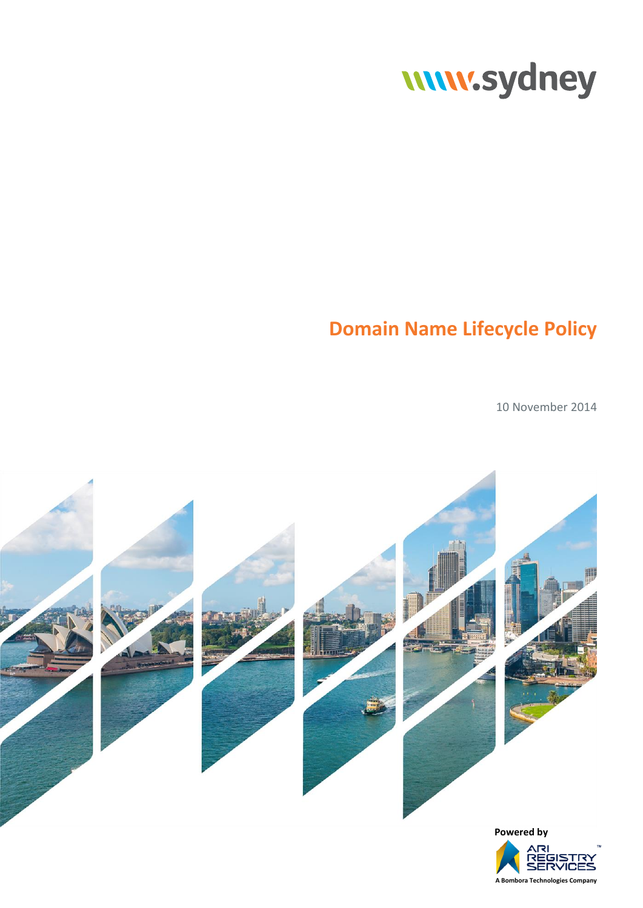# www.sydney

# **Domain Name Lifecycle Policy**

10 November 2014

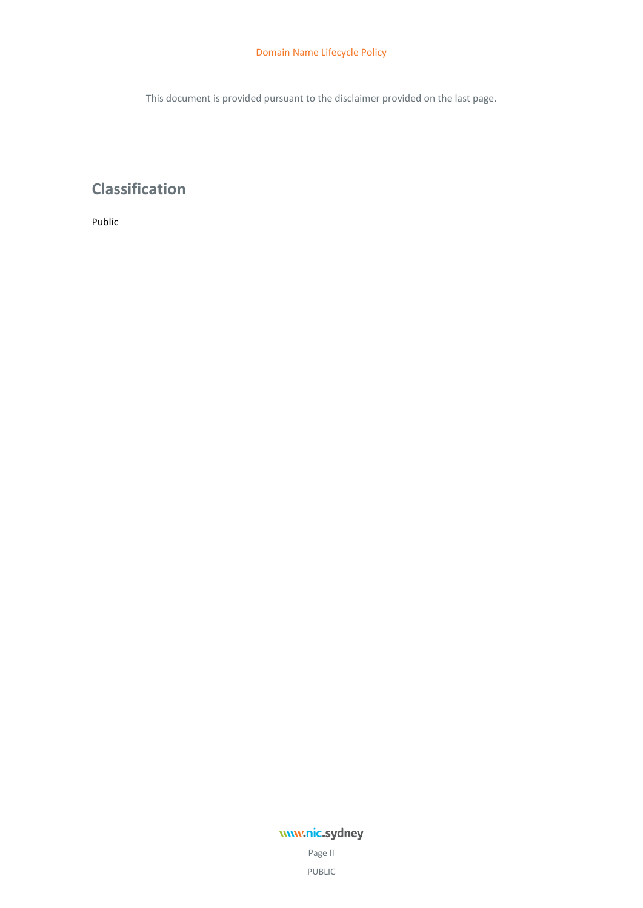This document is provided pursuant to the disclaimer provided on the last page.

# **Classification**

Public

## www.nic.sydney

Page II PUBLIC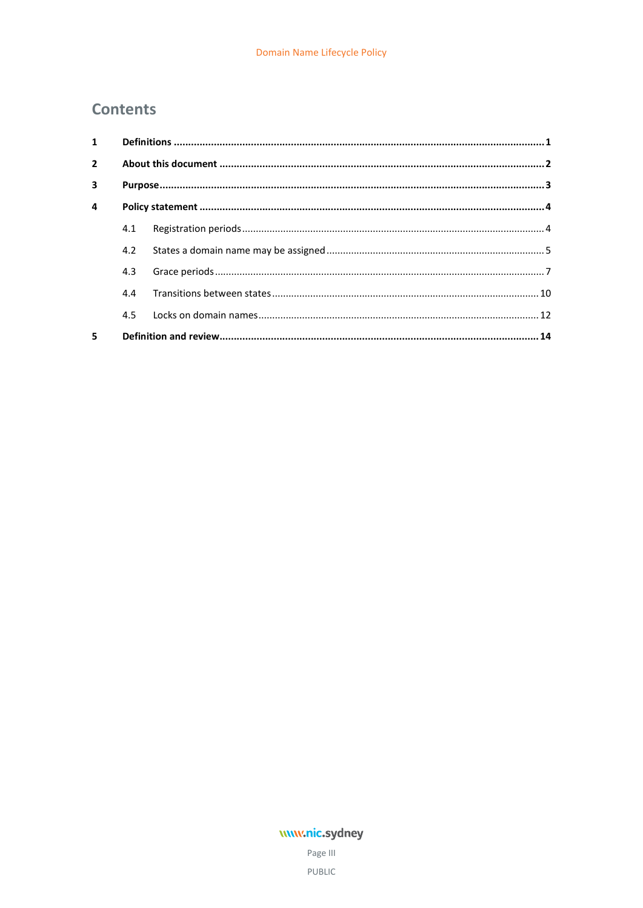## **Contents**

| $1 \quad$               |     |  |  |
|-------------------------|-----|--|--|
| $\overline{2}$          |     |  |  |
| $\overline{\mathbf{3}}$ |     |  |  |
| $\overline{a}$          |     |  |  |
|                         | 4.1 |  |  |
|                         | 4.2 |  |  |
|                         | 4.3 |  |  |
|                         | 4.4 |  |  |
|                         | 4.5 |  |  |
| 5                       |     |  |  |

## www.nic.sydney

Page III PUBLIC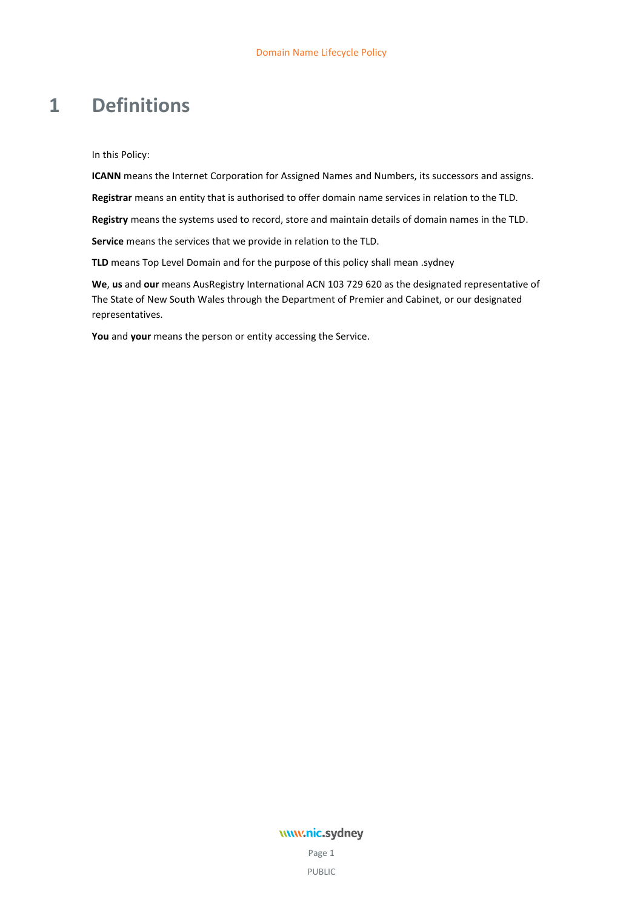## <span id="page-4-0"></span>**1 Definitions**

In this Policy:

**ICANN** means the Internet Corporation for Assigned Names and Numbers, its successors and assigns.

**Registrar** means an entity that is authorised to offer domain name services in relation to the TLD.

**Registry** means the systems used to record, store and maintain details of domain names in the TLD.

**Service** means the services that we provide in relation to the TLD.

**TLD** means Top Level Domain and for the purpose of this policy shall mean .sydney

**We**, **us** and **our** means AusRegistry International ACN 103 729 620 as the designated representative of The State of New South Wales through the Department of Premier and Cabinet, or our designated representatives.

**You** and **your** means the person or entity accessing the Service.

### www.nic.sydney

Page 1 PUBLIC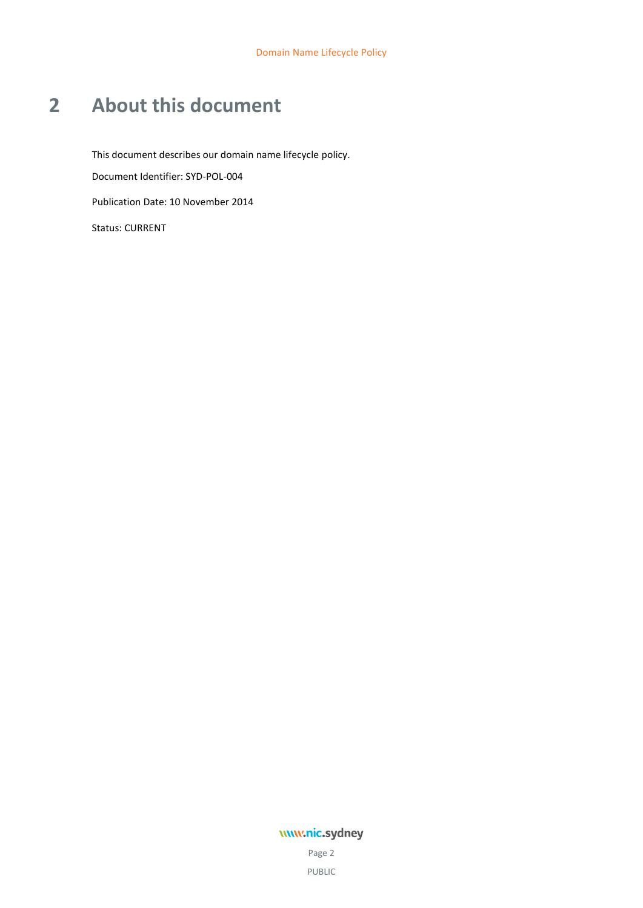# <span id="page-5-0"></span>**2 About this document**

This document describes our domain name lifecycle policy. Document Identifier: SYD-POL-004 Publication Date: 10 November 2014 Status: CURRENT

## www.nic.sydney

Page 2 PUBLIC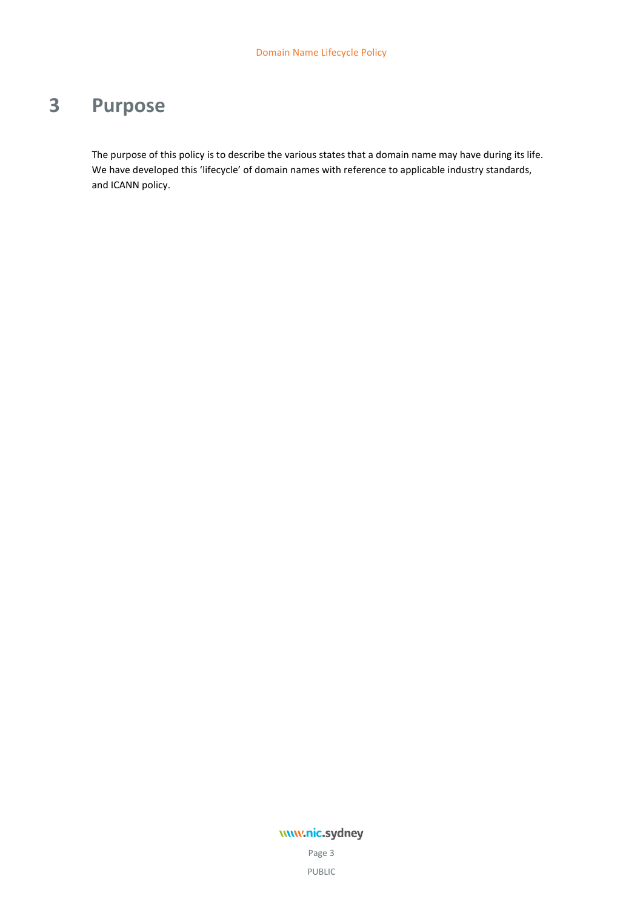# <span id="page-6-0"></span>**3 Purpose**

The purpose of this policy is to describe the various states that a domain name may have during its life. We have developed this 'lifecycle' of domain names with reference to applicable industry standards, and ICANN policy.

## www.nic.sydney

Page 3 PUBLIC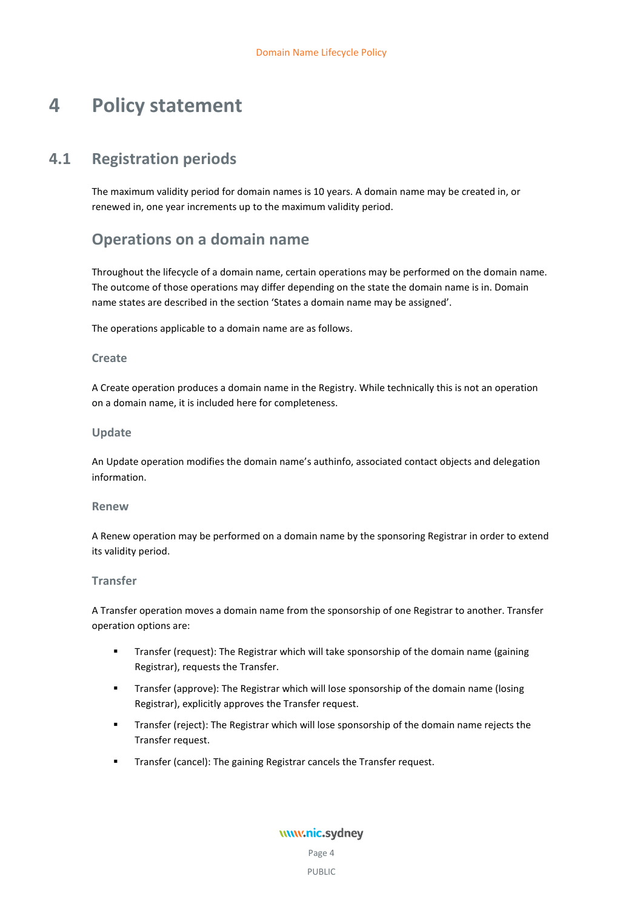# <span id="page-7-0"></span>**4 Policy statement**

## **4.1 Registration periods**

<span id="page-7-1"></span>The maximum validity period for domain names is 10 years. A domain name may be created in, or renewed in, one year increments up to the maximum validity period.

## **Operations on a domain name**

Throughout the lifecycle of a domain name, certain operations may be performed on the domain name. The outcome of those operations may differ depending on the state the domain name is in. Domain name states are described in the section 'States a domain name may be assigned'.

The operations applicable to a domain name are as follows.

#### **Create**

A Create operation produces a domain name in the Registry. While technically this is not an operation on a domain name, it is included here for completeness.

#### **Update**

An Update operation modifies the domain name's authinfo, associated contact objects and delegation information.

#### **Renew**

A Renew operation may be performed on a domain name by the sponsoring Registrar in order to extend its validity period.

#### **Transfer**

A Transfer operation moves a domain name from the sponsorship of one Registrar to another. Transfer operation options are:

- Transfer (request): The Registrar which will take sponsorship of the domain name (gaining Registrar), requests the Transfer.
- Transfer (approve): The Registrar which will lose sponsorship of the domain name (losing Registrar), explicitly approves the Transfer request.
- **Transfer (reject): The Registrar which will lose sponsorship of the domain name rejects the** Transfer request.
- **Transfer (cancel): The gaining Registrar cancels the Transfer request.**

www.nic.sydney

Page 4 PUBLIC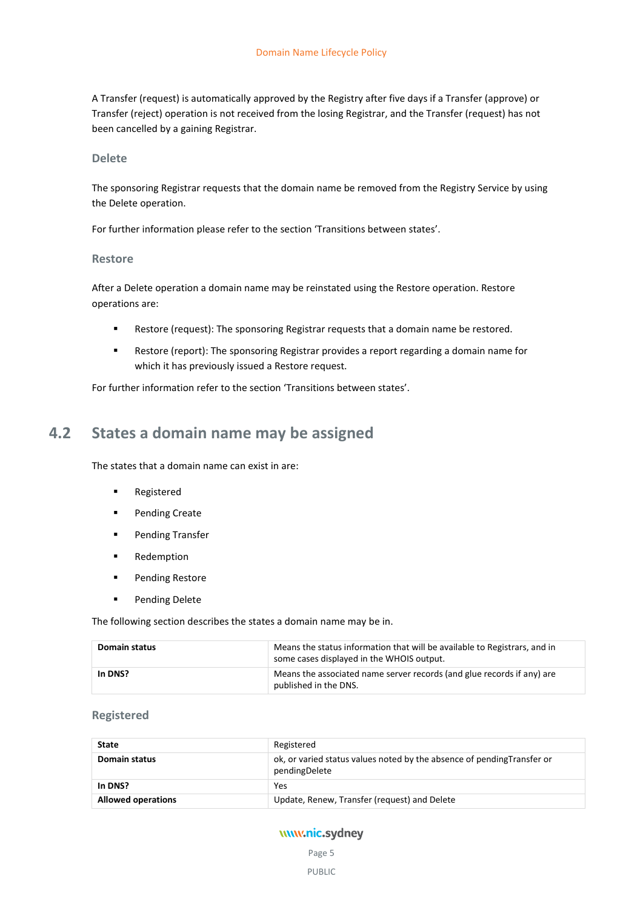A Transfer (request) is automatically approved by the Registry after five days if a Transfer (approve) or Transfer (reject) operation is not received from the losing Registrar, and the Transfer (request) has not been cancelled by a gaining Registrar.

#### **Delete**

The sponsoring Registrar requests that the domain name be removed from the Registry Service by using the Delete operation.

For further information please refer to the section 'Transitions between states'.

#### **Restore**

After a Delete operation a domain name may be reinstated using the Restore operation. Restore operations are:

- Restore (request): The sponsoring Registrar requests that a domain name be restored.
- Restore (report): The sponsoring Registrar provides a report regarding a domain name for which it has previously issued a Restore request.

<span id="page-8-0"></span>For further information refer to the section 'Transitions between states'.

## **4.2 States a domain name may be assigned**

The states that a domain name can exist in are:

- **Registered**
- **Pending Create**
- **Pending Transfer**
- **Redemption**
- **Pending Restore**
- **Pending Delete**

The following section describes the states a domain name may be in.

| <b>Domain status</b> | Means the status information that will be available to Registrars, and in<br>some cases displayed in the WHOIS output. |
|----------------------|------------------------------------------------------------------------------------------------------------------------|
| In DNS?              | Means the associated name server records (and glue records if any) are<br>published in the DNS.                        |

#### **Registered**

| <b>State</b>              | Registered                                                                               |
|---------------------------|------------------------------------------------------------------------------------------|
| Domain status             | ok, or varied status values noted by the absence of pending Transfer or<br>pendingDelete |
| In DNS?                   | Yes                                                                                      |
| <b>Allowed operations</b> | Update, Renew, Transfer (request) and Delete                                             |

## www.nic.sydney

Page 5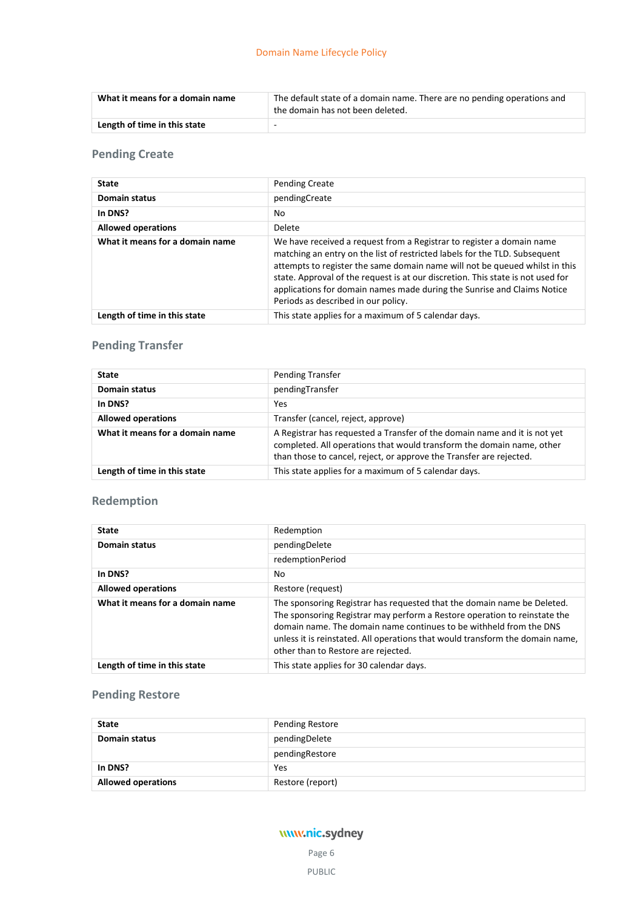| What it means for a domain name | The default state of a domain name. There are no pending operations and<br>the domain has not been deleted. |  |
|---------------------------------|-------------------------------------------------------------------------------------------------------------|--|
| Length of time in this state    |                                                                                                             |  |

## **Pending Create**

| <b>State</b>                    | <b>Pending Create</b>                                                                                                                                                                                                                                                                                                                                                                                                                   |  |
|---------------------------------|-----------------------------------------------------------------------------------------------------------------------------------------------------------------------------------------------------------------------------------------------------------------------------------------------------------------------------------------------------------------------------------------------------------------------------------------|--|
| <b>Domain status</b>            | pendingCreate                                                                                                                                                                                                                                                                                                                                                                                                                           |  |
| In DNS?                         | No                                                                                                                                                                                                                                                                                                                                                                                                                                      |  |
| <b>Allowed operations</b>       | Delete                                                                                                                                                                                                                                                                                                                                                                                                                                  |  |
| What it means for a domain name | We have received a request from a Registrar to register a domain name<br>matching an entry on the list of restricted labels for the TLD. Subsequent<br>attempts to register the same domain name will not be queued whilst in this<br>state. Approval of the request is at our discretion. This state is not used for<br>applications for domain names made during the Sunrise and Claims Notice<br>Periods as described in our policy. |  |
| Length of time in this state    | This state applies for a maximum of 5 calendar days.                                                                                                                                                                                                                                                                                                                                                                                    |  |

## **Pending Transfer**

| <b>State</b>                    | <b>Pending Transfer</b>                                                                                                                                                                                                   |  |
|---------------------------------|---------------------------------------------------------------------------------------------------------------------------------------------------------------------------------------------------------------------------|--|
| Domain status                   | pendingTransfer                                                                                                                                                                                                           |  |
| In DNS?                         | <b>Yes</b>                                                                                                                                                                                                                |  |
| <b>Allowed operations</b>       | Transfer (cancel, reject, approve)                                                                                                                                                                                        |  |
| What it means for a domain name | A Registrar has requested a Transfer of the domain name and it is not yet<br>completed. All operations that would transform the domain name, other<br>than those to cancel, reject, or approve the Transfer are rejected. |  |
| Length of time in this state    | This state applies for a maximum of 5 calendar days.                                                                                                                                                                      |  |

## **Redemption**

| <b>State</b>                    | Redemption                                                                                                                                                                                                                                                                                                                                         |
|---------------------------------|----------------------------------------------------------------------------------------------------------------------------------------------------------------------------------------------------------------------------------------------------------------------------------------------------------------------------------------------------|
| <b>Domain status</b>            | pendingDelete                                                                                                                                                                                                                                                                                                                                      |
|                                 | redemptionPeriod                                                                                                                                                                                                                                                                                                                                   |
| In DNS?                         | No                                                                                                                                                                                                                                                                                                                                                 |
| <b>Allowed operations</b>       | Restore (request)                                                                                                                                                                                                                                                                                                                                  |
| What it means for a domain name | The sponsoring Registrar has requested that the domain name be Deleted.<br>The sponsoring Registrar may perform a Restore operation to reinstate the<br>domain name. The domain name continues to be withheld from the DNS<br>unless it is reinstated. All operations that would transform the domain name,<br>other than to Restore are rejected. |
| Length of time in this state    | This state applies for 30 calendar days.                                                                                                                                                                                                                                                                                                           |

## **Pending Restore**

| <b>State</b>              | <b>Pending Restore</b> |
|---------------------------|------------------------|
| <b>Domain status</b>      | pendingDelete          |
|                           | pendingRestore         |
| In DNS?                   | Yes                    |
| <b>Allowed operations</b> | Restore (report)       |

## www.nic.sydney

Page 6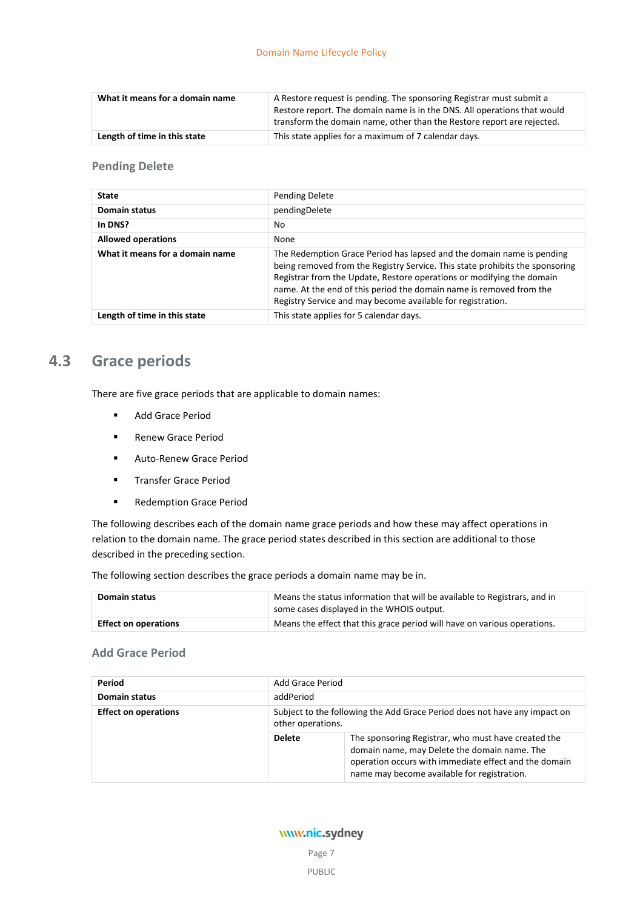| What it means for a domain name | A Restore request is pending. The sponsoring Registrar must submit a<br>Restore report. The domain name is in the DNS. All operations that would<br>transform the domain name, other than the Restore report are rejected. |
|---------------------------------|----------------------------------------------------------------------------------------------------------------------------------------------------------------------------------------------------------------------------|
| Length of time in this state    | This state applies for a maximum of 7 calendar days.                                                                                                                                                                       |

### **Pending Delete**

| <b>State</b>                    | <b>Pending Delete</b>                                                                                                                                                                                                                                                                                                                                                |  |
|---------------------------------|----------------------------------------------------------------------------------------------------------------------------------------------------------------------------------------------------------------------------------------------------------------------------------------------------------------------------------------------------------------------|--|
| <b>Domain status</b>            | pendingDelete                                                                                                                                                                                                                                                                                                                                                        |  |
| In DNS?                         | No                                                                                                                                                                                                                                                                                                                                                                   |  |
| <b>Allowed operations</b>       | None                                                                                                                                                                                                                                                                                                                                                                 |  |
| What it means for a domain name | The Redemption Grace Period has lapsed and the domain name is pending<br>being removed from the Registry Service. This state prohibits the sponsoring<br>Registrar from the Update, Restore operations or modifying the domain<br>name. At the end of this period the domain name is removed from the<br>Registry Service and may become available for registration. |  |
| Length of time in this state    | This state applies for 5 calendar days.                                                                                                                                                                                                                                                                                                                              |  |

## <span id="page-10-0"></span>**4.3 Grace periods**

There are five grace periods that are applicable to domain names:

- Add Grace Period
- **Renew Grace Period**
- **Auto-Renew Grace Period**
- **Transfer Grace Period**
- **Redemption Grace Period**

The following describes each of the domain name grace periods and how these may affect operations in relation to the domain name. The grace period states described in this section are additional to those described in the preceding section.

The following section describes the grace periods a domain name may be in.

| Domain status               | Means the status information that will be available to Registrars, and in<br>some cases displayed in the WHOIS output. |  |
|-----------------------------|------------------------------------------------------------------------------------------------------------------------|--|
| <b>Effect on operations</b> | Means the effect that this grace period will have on various operations.                                               |  |

#### **Add Grace Period**

| Period                      | Add Grace Period                                                                               |                                                                                                                                                                                                             |
|-----------------------------|------------------------------------------------------------------------------------------------|-------------------------------------------------------------------------------------------------------------------------------------------------------------------------------------------------------------|
| Domain status               | addPeriod                                                                                      |                                                                                                                                                                                                             |
| <b>Effect on operations</b> | Subject to the following the Add Grace Period does not have any impact on<br>other operations. |                                                                                                                                                                                                             |
|                             | <b>Delete</b>                                                                                  | The sponsoring Registrar, who must have created the<br>domain name, may Delete the domain name. The<br>operation occurs with immediate effect and the domain<br>name may become available for registration. |

## www.nic.sydney

Page 7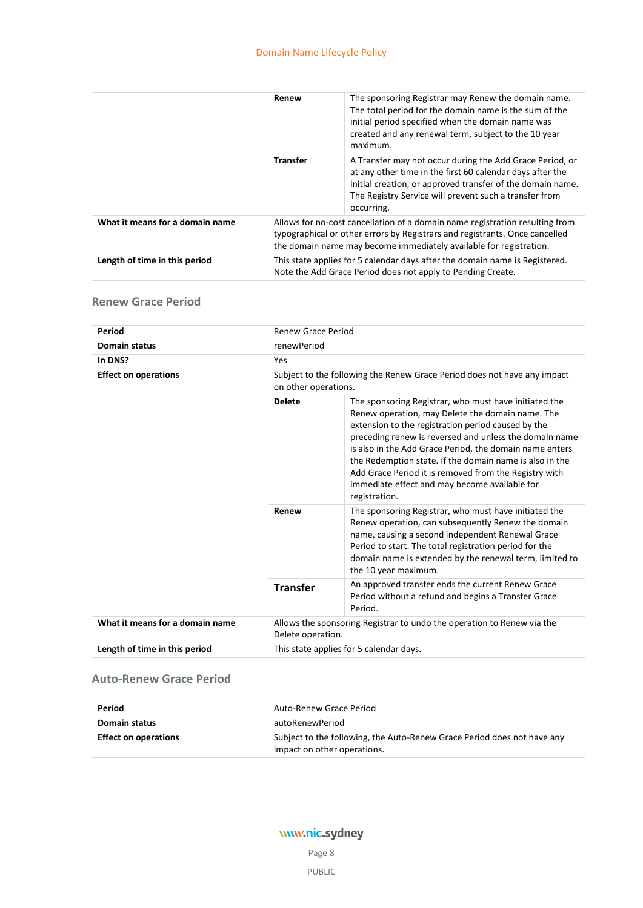|                                 | Renew           | The sponsoring Registrar may Renew the domain name.<br>The total period for the domain name is the sum of the<br>initial period specified when the domain name was<br>created and any renewal term, subject to the 10 year<br>maximum.                      |
|---------------------------------|-----------------|-------------------------------------------------------------------------------------------------------------------------------------------------------------------------------------------------------------------------------------------------------------|
|                                 | <b>Transfer</b> | A Transfer may not occur during the Add Grace Period, or<br>at any other time in the first 60 calendar days after the<br>initial creation, or approved transfer of the domain name.<br>The Registry Service will prevent such a transfer from<br>occurring. |
| What it means for a domain name |                 | Allows for no-cost cancellation of a domain name registration resulting from<br>typographical or other errors by Registrars and registrants. Once cancelled<br>the domain name may become immediately available for registration.                           |
| Length of time in this period   |                 | This state applies for 5 calendar days after the domain name is Registered.<br>Note the Add Grace Period does not apply to Pending Create.                                                                                                                  |

## **Renew Grace Period**

| Period                          | <b>Renew Grace Period</b>                                                                   |                                                                                                                                                                                                                                                                                                                                                                                                                                                                            |  |
|---------------------------------|---------------------------------------------------------------------------------------------|----------------------------------------------------------------------------------------------------------------------------------------------------------------------------------------------------------------------------------------------------------------------------------------------------------------------------------------------------------------------------------------------------------------------------------------------------------------------------|--|
| <b>Domain status</b>            | renewPeriod                                                                                 |                                                                                                                                                                                                                                                                                                                                                                                                                                                                            |  |
| In DNS?                         | Yes                                                                                         |                                                                                                                                                                                                                                                                                                                                                                                                                                                                            |  |
| <b>Effect on operations</b>     |                                                                                             | Subject to the following the Renew Grace Period does not have any impact<br>on other operations.                                                                                                                                                                                                                                                                                                                                                                           |  |
|                                 | <b>Delete</b>                                                                               | The sponsoring Registrar, who must have initiated the<br>Renew operation, may Delete the domain name. The<br>extension to the registration period caused by the<br>preceding renew is reversed and unless the domain name<br>is also in the Add Grace Period, the domain name enters<br>the Redemption state. If the domain name is also in the<br>Add Grace Period it is removed from the Registry with<br>immediate effect and may become available for<br>registration. |  |
|                                 | Renew                                                                                       | The sponsoring Registrar, who must have initiated the<br>Renew operation, can subsequently Renew the domain<br>name, causing a second independent Renewal Grace<br>Period to start. The total registration period for the<br>domain name is extended by the renewal term, limited to<br>the 10 year maximum.                                                                                                                                                               |  |
|                                 | <b>Transfer</b>                                                                             | An approved transfer ends the current Renew Grace<br>Period without a refund and begins a Transfer Grace<br>Period.                                                                                                                                                                                                                                                                                                                                                        |  |
| What it means for a domain name | Allows the sponsoring Registrar to undo the operation to Renew via the<br>Delete operation. |                                                                                                                                                                                                                                                                                                                                                                                                                                                                            |  |
| Length of time in this period   |                                                                                             | This state applies for 5 calendar days.                                                                                                                                                                                                                                                                                                                                                                                                                                    |  |

## **Auto-Renew Grace Period**

| Period                      | Auto-Renew Grace Period                                                                                |
|-----------------------------|--------------------------------------------------------------------------------------------------------|
| Domain status               | autoRenewPeriod                                                                                        |
| <b>Effect on operations</b> | Subject to the following, the Auto-Renew Grace Period does not have any<br>impact on other operations. |

## www.nic.sydney Page 8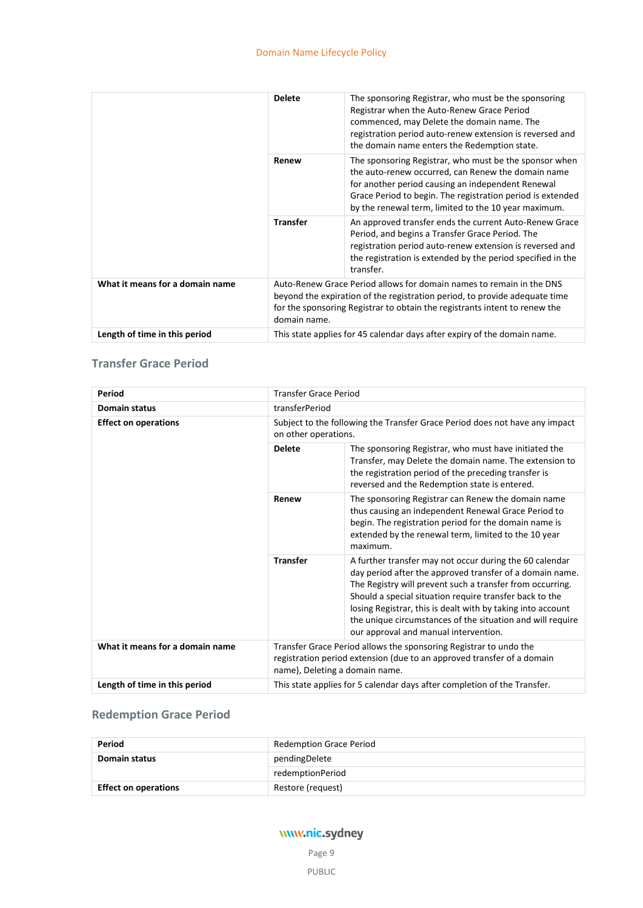|                                 | <b>Delete</b>   | The sponsoring Registrar, who must be the sponsoring<br>Registrar when the Auto-Renew Grace Period<br>commenced, may Delete the domain name. The<br>registration period auto-renew extension is reversed and<br>the domain name enters the Redemption state.                            |
|---------------------------------|-----------------|-----------------------------------------------------------------------------------------------------------------------------------------------------------------------------------------------------------------------------------------------------------------------------------------|
|                                 | Renew           | The sponsoring Registrar, who must be the sponsor when<br>the auto-renew occurred, can Renew the domain name<br>for another period causing an independent Renewal<br>Grace Period to begin. The registration period is extended<br>by the renewal term, limited to the 10 year maximum. |
|                                 | <b>Transfer</b> | An approved transfer ends the current Auto-Renew Grace<br>Period, and begins a Transfer Grace Period. The<br>registration period auto-renew extension is reversed and<br>the registration is extended by the period specified in the<br>transfer.                                       |
| What it means for a domain name | domain name.    | Auto-Renew Grace Period allows for domain names to remain in the DNS<br>beyond the expiration of the registration period, to provide adequate time<br>for the sponsoring Registrar to obtain the registrants intent to renew the                                                        |
| Length of time in this period   |                 | This state applies for 45 calendar days after expiry of the domain name.                                                                                                                                                                                                                |

## **Transfer Grace Period**

| Period                          | <b>Transfer Grace Period</b>                                                                                                                                                  |                                                                                                                                                                                                                                                                                                                                                                                                                   |
|---------------------------------|-------------------------------------------------------------------------------------------------------------------------------------------------------------------------------|-------------------------------------------------------------------------------------------------------------------------------------------------------------------------------------------------------------------------------------------------------------------------------------------------------------------------------------------------------------------------------------------------------------------|
| <b>Domain status</b>            | transferPeriod                                                                                                                                                                |                                                                                                                                                                                                                                                                                                                                                                                                                   |
| <b>Effect on operations</b>     | Subject to the following the Transfer Grace Period does not have any impact<br>on other operations.                                                                           |                                                                                                                                                                                                                                                                                                                                                                                                                   |
|                                 | <b>Delete</b>                                                                                                                                                                 | The sponsoring Registrar, who must have initiated the<br>Transfer, may Delete the domain name. The extension to<br>the registration period of the preceding transfer is<br>reversed and the Redemption state is entered.                                                                                                                                                                                          |
|                                 | Renew                                                                                                                                                                         | The sponsoring Registrar can Renew the domain name<br>thus causing an independent Renewal Grace Period to<br>begin. The registration period for the domain name is<br>extended by the renewal term, limited to the 10 year<br>maximum.                                                                                                                                                                            |
|                                 | <b>Transfer</b>                                                                                                                                                               | A further transfer may not occur during the 60 calendar<br>day period after the approved transfer of a domain name.<br>The Registry will prevent such a transfer from occurring.<br>Should a special situation require transfer back to the<br>losing Registrar, this is dealt with by taking into account<br>the unique circumstances of the situation and will require<br>our approval and manual intervention. |
| What it means for a domain name | Transfer Grace Period allows the sponsoring Registrar to undo the<br>registration period extension (due to an approved transfer of a domain<br>name), Deleting a domain name. |                                                                                                                                                                                                                                                                                                                                                                                                                   |
| Length of time in this period   |                                                                                                                                                                               | This state applies for 5 calendar days after completion of the Transfer.                                                                                                                                                                                                                                                                                                                                          |

## **Redemption Grace Period**

| Period                      | <b>Redemption Grace Period</b> |
|-----------------------------|--------------------------------|
| Domain status               | pendingDelete                  |
|                             | redemptionPeriod               |
| <b>Effect on operations</b> | Restore (request)              |

## www.nic.sydney

Page 9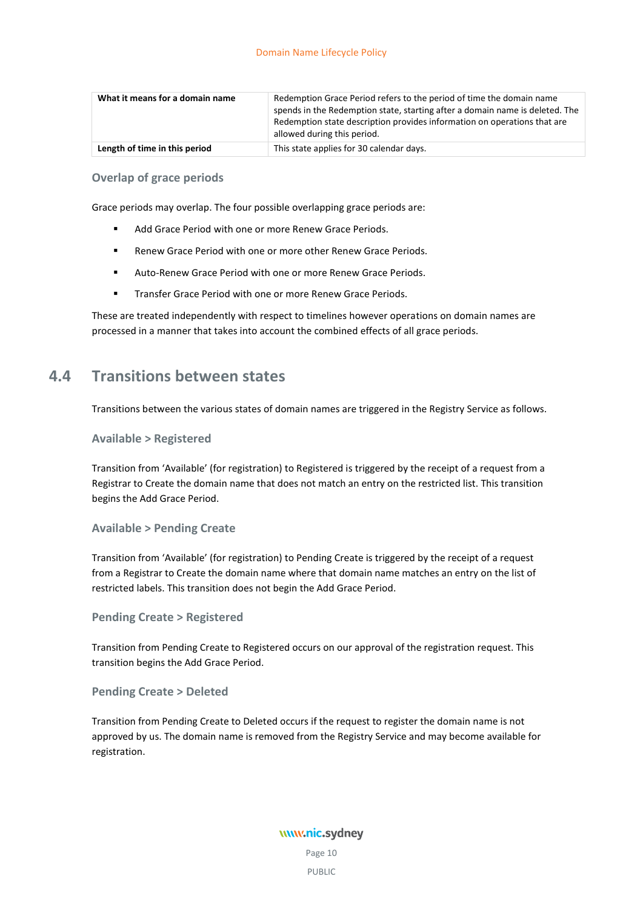| What it means for a domain name | Redemption Grace Period refers to the period of time the domain name<br>spends in the Redemption state, starting after a domain name is deleted. The<br>Redemption state description provides information on operations that are<br>allowed during this period. |
|---------------------------------|-----------------------------------------------------------------------------------------------------------------------------------------------------------------------------------------------------------------------------------------------------------------|
| Length of time in this period   | This state applies for 30 calendar days.                                                                                                                                                                                                                        |

### **Overlap of grace periods**

Grace periods may overlap. The four possible overlapping grace periods are:

- Add Grace Period with one or more Renew Grace Periods.
- **Renew Grace Period with one or more other Renew Grace Periods.**
- Auto-Renew Grace Period with one or more Renew Grace Periods.
- **Transfer Grace Period with one or more Renew Grace Periods.**

<span id="page-13-0"></span>These are treated independently with respect to timelines however operations on domain names are processed in a manner that takes into account the combined effects of all grace periods.

## **4.4 Transitions between states**

Transitions between the various states of domain names are triggered in the Registry Service as follows.

#### **Available > Registered**

Transition from 'Available' (for registration) to Registered is triggered by the receipt of a request from a Registrar to Create the domain name that does not match an entry on the restricted list. This transition begins the Add Grace Period.

#### **Available > Pending Create**

Transition from 'Available' (for registration) to Pending Create is triggered by the receipt of a request from a Registrar to Create the domain name where that domain name matches an entry on the list of restricted labels. This transition does not begin the Add Grace Period.

#### **Pending Create > Registered**

Transition from Pending Create to Registered occurs on our approval of the registration request. This transition begins the Add Grace Period.

#### **Pending Create > Deleted**

Transition from Pending Create to Deleted occurs if the request to register the domain name is not approved by us. The domain name is removed from the Registry Service and may become available for registration.

> www.nic.sydney Page 10 PUBLIC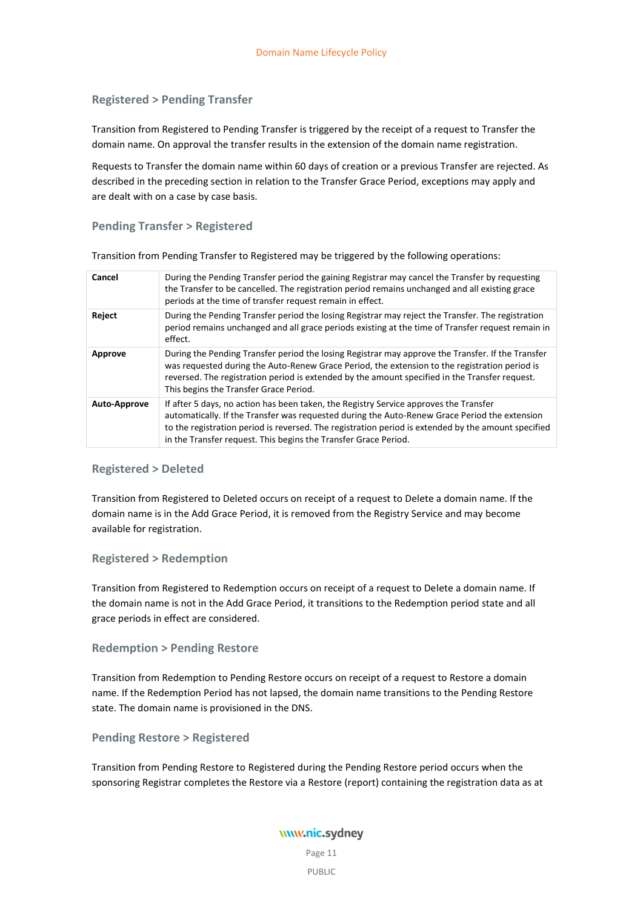#### **Registered > Pending Transfer**

Transition from Registered to Pending Transfer is triggered by the receipt of a request to Transfer the domain name. On approval the transfer results in the extension of the domain name registration.

Requests to Transfer the domain name within 60 days of creation or a previous Transfer are rejected. As described in the preceding section in relation to the Transfer Grace Period, exceptions may apply and are dealt with on a case by case basis.

#### **Pending Transfer > Registered**

Transition from Pending Transfer to Registered may be triggered by the following operations:

| During the Pending Transfer period the gaining Registrar may cancel the Transfer by requesting<br>the Transfer to be cancelled. The registration period remains unchanged and all existing grace<br>periods at the time of transfer request remain in effect.                                                                                                    |
|------------------------------------------------------------------------------------------------------------------------------------------------------------------------------------------------------------------------------------------------------------------------------------------------------------------------------------------------------------------|
| During the Pending Transfer period the losing Registrar may reject the Transfer. The registration<br>period remains unchanged and all grace periods existing at the time of Transfer request remain in<br>effect.                                                                                                                                                |
| During the Pending Transfer period the losing Registrar may approve the Transfer. If the Transfer<br>was requested during the Auto-Renew Grace Period, the extension to the registration period is<br>reversed. The registration period is extended by the amount specified in the Transfer request.<br>This begins the Transfer Grace Period.                   |
| If after 5 days, no action has been taken, the Registry Service approves the Transfer<br>automatically. If the Transfer was requested during the Auto-Renew Grace Period the extension<br>to the registration period is reversed. The registration period is extended by the amount specified<br>in the Transfer request. This begins the Transfer Grace Period. |
|                                                                                                                                                                                                                                                                                                                                                                  |

#### **Registered > Deleted**

Transition from Registered to Deleted occurs on receipt of a request to Delete a domain name. If the domain name is in the Add Grace Period, it is removed from the Registry Service and may become available for registration.

#### **Registered > Redemption**

Transition from Registered to Redemption occurs on receipt of a request to Delete a domain name. If the domain name is not in the Add Grace Period, it transitions to the Redemption period state and all grace periods in effect are considered.

#### **Redemption > Pending Restore**

Transition from Redemption to Pending Restore occurs on receipt of a request to Restore a domain name. If the Redemption Period has not lapsed, the domain name transitions to the Pending Restore state. The domain name is provisioned in the DNS.

**Pending Restore > Registered**

Transition from Pending Restore to Registered during the Pending Restore period occurs when the sponsoring Registrar completes the Restore via a Restore (report) containing the registration data as at

## www.nic.sydney

Page 11 PUBLIC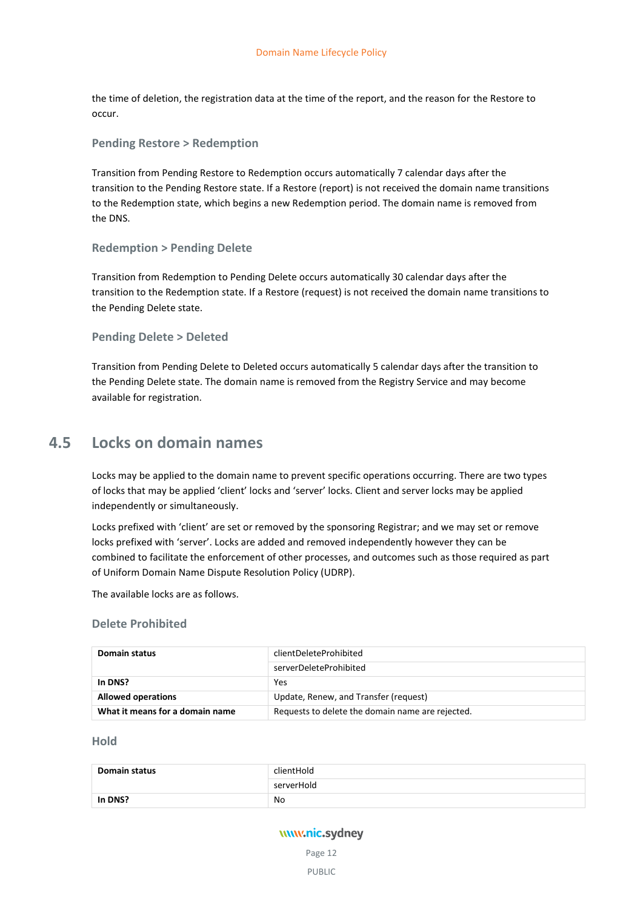the time of deletion, the registration data at the time of the report, and the reason for the Restore to occur.

#### **Pending Restore > Redemption**

Transition from Pending Restore to Redemption occurs automatically 7 calendar days after the transition to the Pending Restore state. If a Restore (report) is not received the domain name transitions to the Redemption state, which begins a new Redemption period. The domain name is removed from the DNS.

#### **Redemption > Pending Delete**

Transition from Redemption to Pending Delete occurs automatically 30 calendar days after the transition to the Redemption state. If a Restore (request) is not received the domain name transitions to the Pending Delete state.

#### **Pending Delete > Deleted**

Transition from Pending Delete to Deleted occurs automatically 5 calendar days after the transition to the Pending Delete state. The domain name is removed from the Registry Service and may become available for registration.

## <span id="page-15-0"></span>**4.5 Locks on domain names**

Locks may be applied to the domain name to prevent specific operations occurring. There are two types of locks that may be applied 'client' locks and 'server' locks. Client and server locks may be applied independently or simultaneously.

Locks prefixed with 'client' are set or removed by the sponsoring Registrar; and we may set or remove locks prefixed with 'server'. Locks are added and removed independently however they can be combined to facilitate the enforcement of other processes, and outcomes such as those required as part of Uniform Domain Name Dispute Resolution Policy (UDRP).

The available locks are as follows.

#### **Delete Prohibited**

| Domain status                   | clientDeleteProhibited                           |
|---------------------------------|--------------------------------------------------|
|                                 | serverDeleteProhibited                           |
| In DNS?                         | Yes                                              |
| <b>Allowed operations</b>       | Update, Renew, and Transfer (request)            |
| What it means for a domain name | Requests to delete the domain name are rejected. |

#### **Hold**

| <b>Domain status</b> | clientHold |
|----------------------|------------|
|                      | serverHold |
| In DNS?              | No         |

## www.nic.sydney

Page 12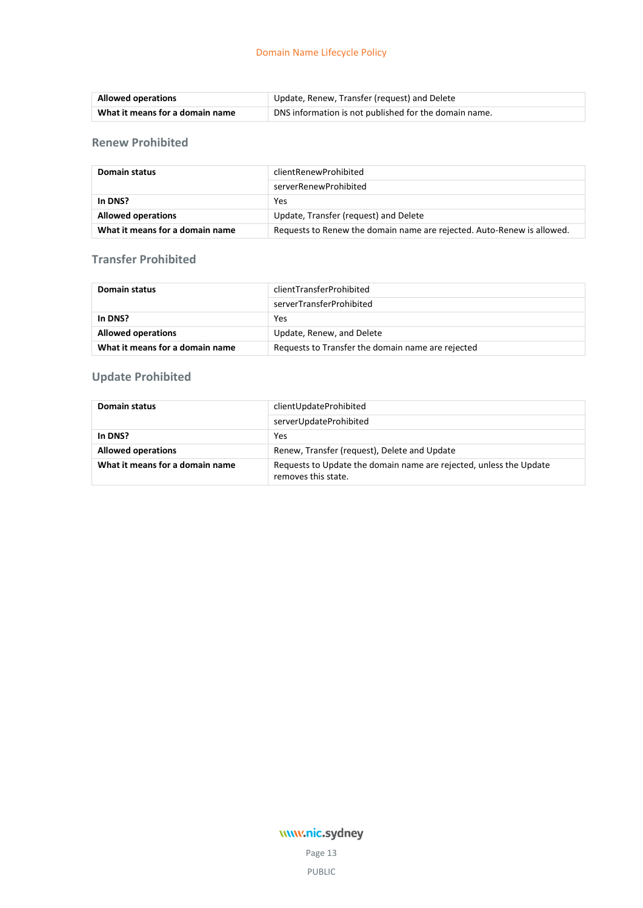| <b>Allowed operations</b>       | Update, Renew, Transfer (request) and Delete          |
|---------------------------------|-------------------------------------------------------|
| What it means for a domain name | DNS information is not published for the domain name. |

## **Renew Prohibited**

| Domain status                   | clientRenewProhibited                                                  |
|---------------------------------|------------------------------------------------------------------------|
|                                 | serverRenewProhibited                                                  |
| In DNS?                         | Yes                                                                    |
| <b>Allowed operations</b>       | Update, Transfer (request) and Delete                                  |
| What it means for a domain name | Requests to Renew the domain name are rejected. Auto-Renew is allowed. |

## **Transfer Prohibited**

| Domain status                   | clientTransferProhibited                          |
|---------------------------------|---------------------------------------------------|
|                                 | serverTransferProhibited                          |
| In DNS?                         | Yes                                               |
| <b>Allowed operations</b>       | Update, Renew, and Delete                         |
| What it means for a domain name | Requests to Transfer the domain name are rejected |

## **Update Prohibited**

| Domain status                   | clientUpdateProhibited                                                                    |
|---------------------------------|-------------------------------------------------------------------------------------------|
|                                 | serverUpdateProhibited                                                                    |
| In DNS?                         | Yes                                                                                       |
| <b>Allowed operations</b>       | Renew, Transfer (request), Delete and Update                                              |
| What it means for a domain name | Requests to Update the domain name are rejected, unless the Update<br>removes this state. |

## www.nic.sydney

Page 13 PUBLIC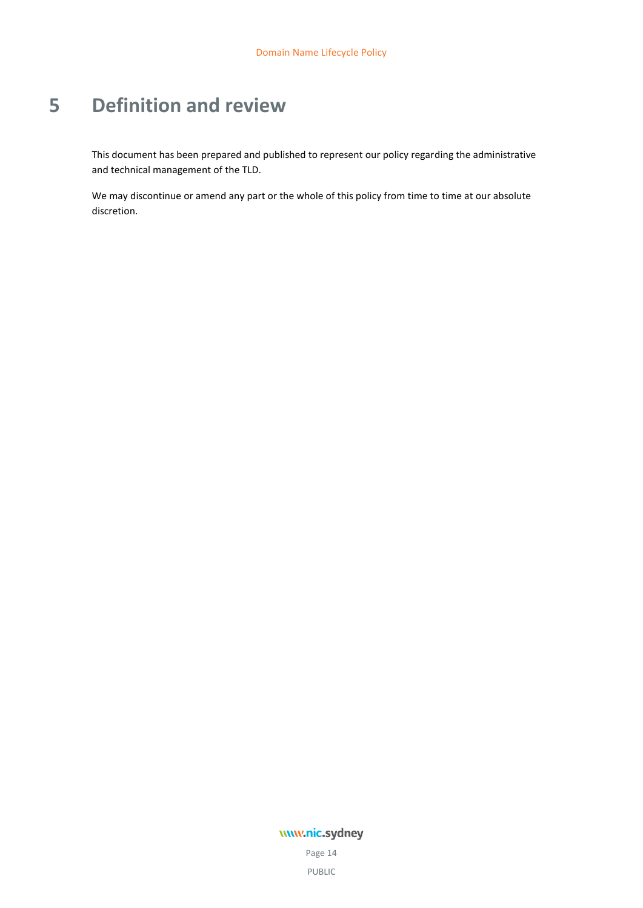# <span id="page-17-0"></span>**5 Definition and review**

This document has been prepared and published to represent our policy regarding the administrative and technical management of the TLD.

We may discontinue or amend any part or the whole of this policy from time to time at our absolute discretion.

## www.nic.sydney

Page 14 PUBLIC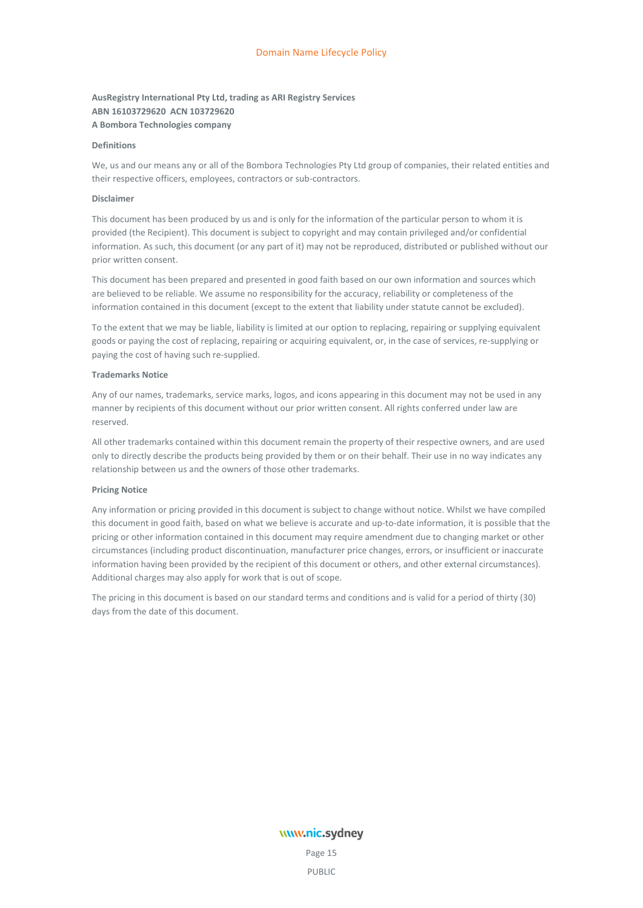#### **AusRegistry International Pty Ltd, trading as ARI Registry Services ABN 16103729620 ACN 103729620 A Bombora Technologies company**

#### **Definitions**

We, us and our means any or all of the Bombora Technologies Pty Ltd group of companies, their related entities and their respective officers, employees, contractors or sub-contractors.

#### **Disclaimer**

This document has been produced by us and is only for the information of the particular person to whom it is provided (the Recipient). This document is subject to copyright and may contain privileged and/or confidential information. As such, this document (or any part of it) may not be reproduced, distributed or published without our prior written consent.

This document has been prepared and presented in good faith based on our own information and sources which are believed to be reliable. We assume no responsibility for the accuracy, reliability or completeness of the information contained in this document (except to the extent that liability under statute cannot be excluded).

To the extent that we may be liable, liability is limited at our option to replacing, repairing or supplying equivalent goods or paying the cost of replacing, repairing or acquiring equivalent, or, in the case of services, re-supplying or paying the cost of having such re-supplied.

#### **Trademarks Notice**

Any of our names, trademarks, service marks, logos, and icons appearing in this document may not be used in any manner by recipients of this document without our prior written consent. All rights conferred under law are reserved.

All other trademarks contained within this document remain the property of their respective owners, and are used only to directly describe the products being provided by them or on their behalf. Their use in no way indicates any relationship between us and the owners of those other trademarks.

#### **Pricing Notice**

Any information or pricing provided in this document is subject to change without notice. Whilst we have compiled this document in good faith, based on what we believe is accurate and up-to-date information, it is possible that the pricing or other information contained in this document may require amendment due to changing market or other circumstances (including product discontinuation, manufacturer price changes, errors, or insufficient or inaccurate information having been provided by the recipient of this document or others, and other external circumstances). Additional charges may also apply for work that is out of scope.

The pricing in this document is based on our standard terms and conditions and is valid for a period of thirty (30) days from the date of this document.

# www.nic.sydney

Page 15 PUBLIC